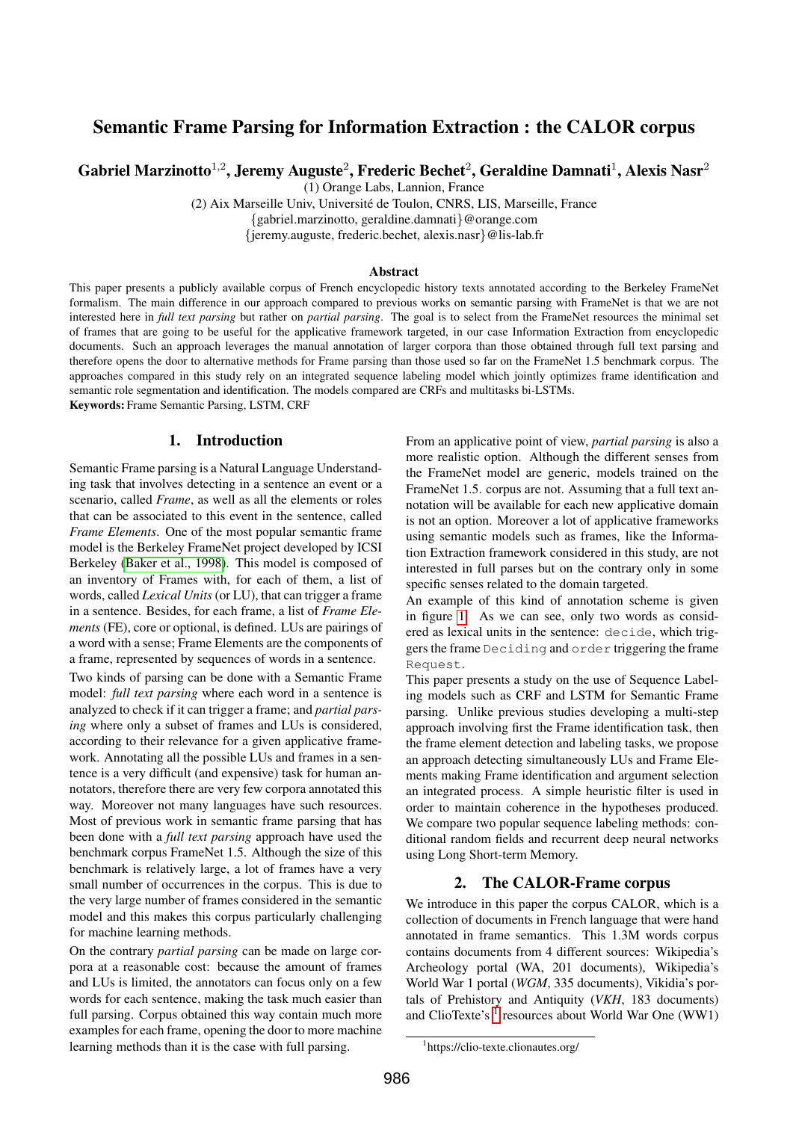# Semantic Frame Parsing for Information Extraction : the CALOR corpus

Gabriel Marzinotto $^{1,2}$ , Jeremy Auguste $^2$ , Frederic Bechet $^2$ , Geraldine Damnati $^1$ , Alexis Nasr $^2$ 

(1) Orange Labs, Lannion, France

(2) Aix Marseille Univ, Universite de Toulon, CNRS, LIS, Marseille, France ´

{gabriel.marzinotto, geraldine.damnati}@orange.com

{jeremy.auguste, frederic.bechet, alexis.nasr}@lis-lab.fr

#### Abstract

This paper presents a publicly available corpus of French encyclopedic history texts annotated according to the Berkeley FrameNet formalism. The main difference in our approach compared to previous works on semantic parsing with FrameNet is that we are not interested here in *full text parsing* but rather on *partial parsing*. The goal is to select from the FrameNet resources the minimal set of frames that are going to be useful for the applicative framework targeted, in our case Information Extraction from encyclopedic documents. Such an approach leverages the manual annotation of larger corpora than those obtained through full text parsing and therefore opens the door to alternative methods for Frame parsing than those used so far on the FrameNet 1.5 benchmark corpus. The approaches compared in this study rely on an integrated sequence labeling model which jointly optimizes frame identification and semantic role segmentation and identification. The models compared are CRFs and multitasks bi-LSTMs. Keywords: Frame Semantic Parsing, LSTM, CRF

1. Introduction

Semantic Frame parsing is a Natural Language Understanding task that involves detecting in a sentence an event or a scenario, called *Frame*, as well as all the elements or roles that can be associated to this event in the sentence, called *Frame Elements*. One of the most popular semantic frame model is the Berkeley FrameNet project developed by ICSI Berkeley [\(Baker et al., 1998\)](#page-7-0). This model is composed of an inventory of Frames with, for each of them, a list of words, called *Lexical Units* (or LU), that can trigger a frame in a sentence. Besides, for each frame, a list of *Frame Elements* (FE), core or optional, is defined. LUs are pairings of a word with a sense; Frame Elements are the components of a frame, represented by sequences of words in a sentence.

Two kinds of parsing can be done with a Semantic Frame model: *full text parsing* where each word in a sentence is analyzed to check if it can trigger a frame; and *partial parsing* where only a subset of frames and LUs is considered, according to their relevance for a given applicative framework. Annotating all the possible LUs and frames in a sentence is a very difficult (and expensive) task for human annotators, therefore there are very few corpora annotated this way. Moreover not many languages have such resources. Most of previous work in semantic frame parsing that has been done with a *full text parsing* approach have used the benchmark corpus FrameNet 1.5. Although the size of this benchmark is relatively large, a lot of frames have a very small number of occurrences in the corpus. This is due to the very large number of frames considered in the semantic model and this makes this corpus particularly challenging for machine learning methods.

On the contrary *partial parsing* can be made on large corpora at a reasonable cost: because the amount of frames and LUs is limited, the annotators can focus only on a few words for each sentence, making the task much easier than full parsing. Corpus obtained this way contain much more examples for each frame, opening the door to more machine learning methods than it is the case with full parsing.

From an applicative point of view, *partial parsing* is also a more realistic option. Although the different senses from the FrameNet model are generic, models trained on the FrameNet 1.5. corpus are not. Assuming that a full text annotation will be available for each new applicative domain is not an option. Moreover a lot of applicative frameworks using semantic models such as frames, like the Information Extraction framework considered in this study, are not interested in full parses but on the contrary only in some specific senses related to the domain targeted.

An example of this kind of annotation scheme is given in figure [1.](#page-1-0) As we can see, only two words as considered as lexical units in the sentence: decide, which triggers the frame Deciding and order triggering the frame Request.

This paper presents a study on the use of Sequence Labeling models such as CRF and LSTM for Semantic Frame parsing. Unlike previous studies developing a multi-step approach involving first the Frame identification task, then the frame element detection and labeling tasks, we propose an approach detecting simultaneously LUs and Frame Elements making Frame identification and argument selection an integrated process. A simple heuristic filter is used in order to maintain coherence in the hypotheses produced. We compare two popular sequence labeling methods: conditional random fields and recurrent deep neural networks using Long Short-term Memory.

# 2. The CALOR-Frame corpus

We introduce in this paper the corpus CALOR, which is a collection of documents in French language that were hand annotated in frame semantics. This 1.3M words corpus contains documents from 4 different sources: Wikipedia's Archeology portal (WA, 201 documents), Wikipedia's World War 1 portal (*WGM*, 335 documents), Vikidia's portals of Prehistory and Antiquity (*VKH*, 183 documents) and ClioTexte's  $<sup>1</sup>$  $<sup>1</sup>$  $<sup>1</sup>$  resources about World War One (WW1)</sup>

<span id="page-0-0"></span><sup>1</sup> https://clio-texte.clionautes.org/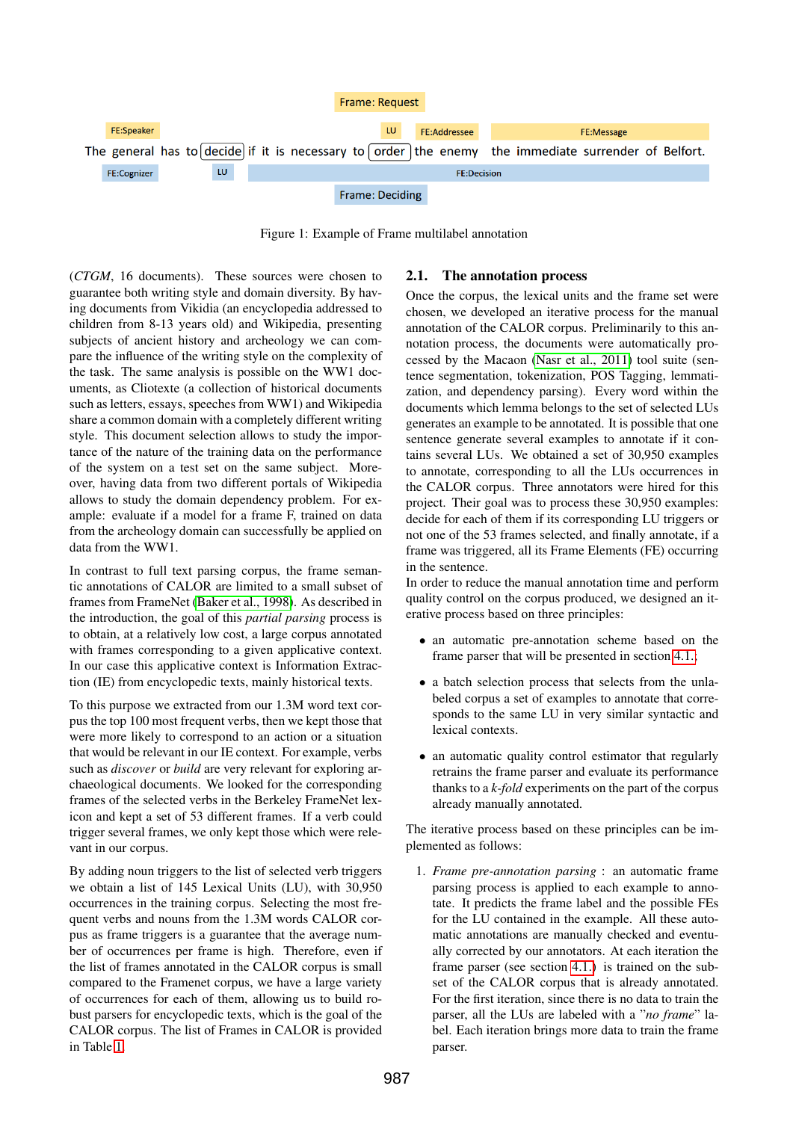

<span id="page-1-0"></span>Figure 1: Example of Frame multilabel annotation

(*CTGM*, 16 documents). These sources were chosen to guarantee both writing style and domain diversity. By having documents from Vikidia (an encyclopedia addressed to children from 8-13 years old) and Wikipedia, presenting subjects of ancient history and archeology we can compare the influence of the writing style on the complexity of the task. The same analysis is possible on the WW1 documents, as Cliotexte (a collection of historical documents such as letters, essays, speeches from WW1) and Wikipedia share a common domain with a completely different writing style. This document selection allows to study the importance of the nature of the training data on the performance of the system on a test set on the same subject. Moreover, having data from two different portals of Wikipedia allows to study the domain dependency problem. For example: evaluate if a model for a frame F, trained on data from the archeology domain can successfully be applied on data from the WW1.

In contrast to full text parsing corpus, the frame semantic annotations of CALOR are limited to a small subset of frames from FrameNet [\(Baker et al., 1998\)](#page-7-0). As described in the introduction, the goal of this *partial parsing* process is to obtain, at a relatively low cost, a large corpus annotated with frames corresponding to a given applicative context. In our case this applicative context is Information Extraction (IE) from encyclopedic texts, mainly historical texts.

To this purpose we extracted from our 1.3M word text corpus the top 100 most frequent verbs, then we kept those that were more likely to correspond to an action or a situation that would be relevant in our IE context. For example, verbs such as *discover* or *build* are very relevant for exploring archaeological documents. We looked for the corresponding frames of the selected verbs in the Berkeley FrameNet lexicon and kept a set of 53 different frames. If a verb could trigger several frames, we only kept those which were relevant in our corpus.

By adding noun triggers to the list of selected verb triggers we obtain a list of 145 Lexical Units (LU), with 30,950 occurrences in the training corpus. Selecting the most frequent verbs and nouns from the 1.3M words CALOR corpus as frame triggers is a guarantee that the average number of occurrences per frame is high. Therefore, even if the list of frames annotated in the CALOR corpus is small compared to the Framenet corpus, we have a large variety of occurrences for each of them, allowing us to build robust parsers for encyclopedic texts, which is the goal of the CALOR corpus. The list of Frames in CALOR is provided in Table [1.](#page-2-0)

# 2.1. The annotation process

Once the corpus, the lexical units and the frame set were chosen, we developed an iterative process for the manual annotation of the CALOR corpus. Preliminarily to this annotation process, the documents were automatically processed by the Macaon [\(Nasr et al., 2011\)](#page-7-1) tool suite (sentence segmentation, tokenization, POS Tagging, lemmatization, and dependency parsing). Every word within the documents which lemma belongs to the set of selected LUs generates an example to be annotated. It is possible that one sentence generate several examples to annotate if it contains several LUs. We obtained a set of 30,950 examples to annotate, corresponding to all the LUs occurrences in the CALOR corpus. Three annotators were hired for this project. Their goal was to process these 30,950 examples: decide for each of them if its corresponding LU triggers or not one of the 53 frames selected, and finally annotate, if a frame was triggered, all its Frame Elements (FE) occurring in the sentence.

In order to reduce the manual annotation time and perform quality control on the corpus produced, we designed an iterative process based on three principles:

- an automatic pre-annotation scheme based on the frame parser that will be presented in section [4.1.;](#page-3-0)
- a batch selection process that selects from the unlabeled corpus a set of examples to annotate that corresponds to the same LU in very similar syntactic and lexical contexts.
- an automatic quality control estimator that regularly retrains the frame parser and evaluate its performance thanks to a *k-fold* experiments on the part of the corpus already manually annotated.

The iterative process based on these principles can be implemented as follows:

1. *Frame pre-annotation parsing* : an automatic frame parsing process is applied to each example to annotate. It predicts the frame label and the possible FEs for the LU contained in the example. All these automatic annotations are manually checked and eventually corrected by our annotators. At each iteration the frame parser (see section [4.1.\)](#page-3-0) is trained on the subset of the CALOR corpus that is already annotated. For the first iteration, since there is no data to train the parser, all the LUs are labeled with a "*no frame*" label. Each iteration brings more data to train the frame parser.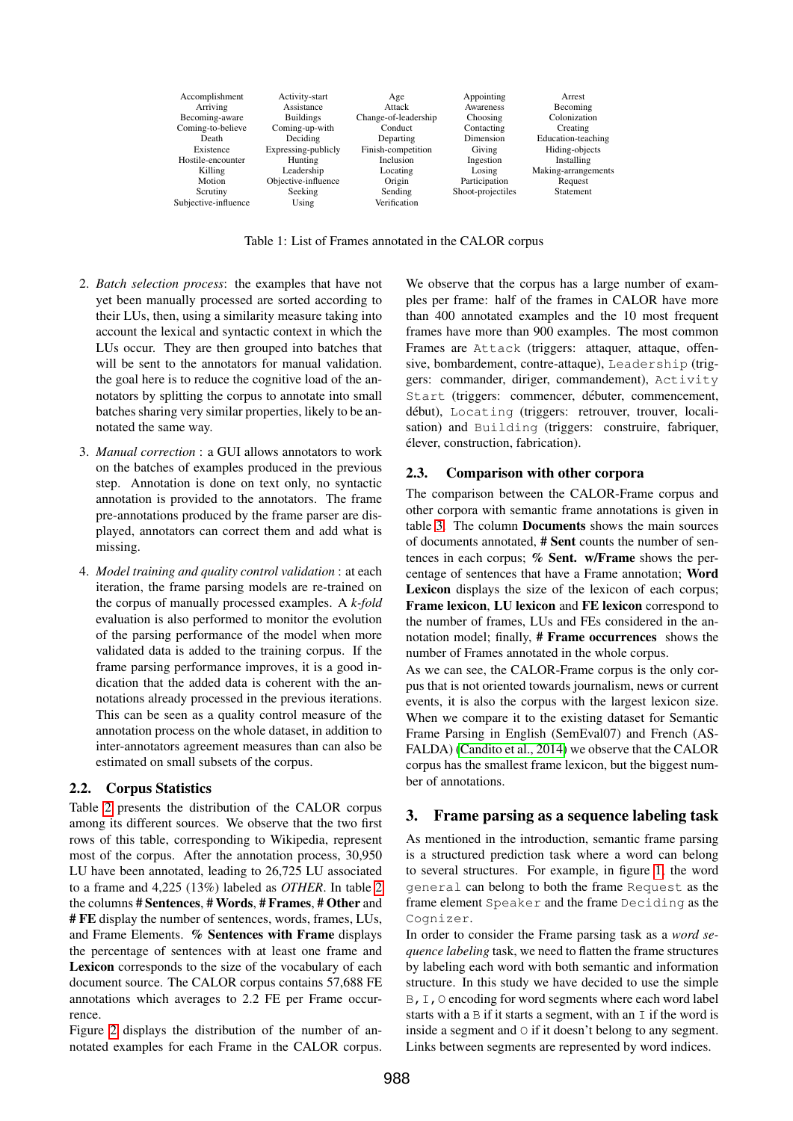| Accomplishment       | Activity-start      | Age                  | Appointing        | Arrest              |
|----------------------|---------------------|----------------------|-------------------|---------------------|
| Arriving             | Assistance          | Attack               | Awareness         | Becoming            |
| Becoming-aware       | <b>Buildings</b>    | Change-of-leadership | Choosing          | Colonization        |
| Coming-to-believe    | Coming-up-with      | Conduct              | Contacting        | Creating            |
| Death                | Deciding            | Departing            | Dimension         | Education-teaching  |
| Existence            | Expressing-publicly | Finish-competition   | Giving            | Hiding-objects      |
| Hostile-encounter    | Hunting             | Inclusion            | Ingestion         | Installing          |
| Killing              | Leadership          | Locating             | Losing            | Making-arrangements |
| Motion               | Objective-influence | Origin               | Participation     | Request             |
| Scrutiny             | Seeking             | Sending              | Shoot-projectiles | <b>Statement</b>    |
| Subjective-influence | Using               | Verification         |                   |                     |

<span id="page-2-0"></span>Table 1: List of Frames annotated in the CALOR corpus

- 2. *Batch selection process*: the examples that have not yet been manually processed are sorted according to their LUs, then, using a similarity measure taking into account the lexical and syntactic context in which the LUs occur. They are then grouped into batches that will be sent to the annotators for manual validation. the goal here is to reduce the cognitive load of the annotators by splitting the corpus to annotate into small batches sharing very similar properties, likely to be annotated the same way.
- 3. *Manual correction* : a GUI allows annotators to work on the batches of examples produced in the previous step. Annotation is done on text only, no syntactic annotation is provided to the annotators. The frame pre-annotations produced by the frame parser are displayed, annotators can correct them and add what is missing.
- 4. *Model training and quality control validation* : at each iteration, the frame parsing models are re-trained on the corpus of manually processed examples. A *k-fold* evaluation is also performed to monitor the evolution of the parsing performance of the model when more validated data is added to the training corpus. If the frame parsing performance improves, it is a good indication that the added data is coherent with the annotations already processed in the previous iterations. This can be seen as a quality control measure of the annotation process on the whole dataset, in addition to inter-annotators agreement measures than can also be estimated on small subsets of the corpus.

#### 2.2. Corpus Statistics

Table [2](#page-3-1) presents the distribution of the CALOR corpus among its different sources. We observe that the two first rows of this table, corresponding to Wikipedia, represent most of the corpus. After the annotation process, 30,950 LU have been annotated, leading to 26,725 LU associated to a frame and 4,225 (13%) labeled as *OTHER*. In table [2](#page-3-1) the columns # Sentences, # Words, # Frames, # Other and # FE display the number of sentences, words, frames, LUs, and Frame Elements. % Sentences with Frame displays the percentage of sentences with at least one frame and Lexicon corresponds to the size of the vocabulary of each document source. The CALOR corpus contains 57,688 FE annotations which averages to 2.2 FE per Frame occurrence.

Figure [2](#page-3-2) displays the distribution of the number of annotated examples for each Frame in the CALOR corpus. We observe that the corpus has a large number of examples per frame: half of the frames in CALOR have more than 400 annotated examples and the 10 most frequent frames have more than 900 examples. The most common Frames are Attack (triggers: attaquer, attaque, offensive, bombardement, contre-attaque), Leadership (triggers: commander, diriger, commandement), Activity Start (triggers: commencer, débuter, commencement, début), Locating (triggers: retrouver, trouver, localisation) and Building (triggers: construire, fabriquer, elever, construction, fabrication). ´

#### 2.3. Comparison with other corpora

The comparison between the CALOR-Frame corpus and other corpora with semantic frame annotations is given in table [3.](#page-4-0) The column Documents shows the main sources of documents annotated, # Sent counts the number of sentences in each corpus; % Sent. w/Frame shows the percentage of sentences that have a Frame annotation; Word Lexicon displays the size of the lexicon of each corpus; Frame lexicon, LU lexicon and FE lexicon correspond to the number of frames, LUs and FEs considered in the annotation model; finally, # Frame occurrences shows the number of Frames annotated in the whole corpus.

As we can see, the CALOR-Frame corpus is the only corpus that is not oriented towards journalism, news or current events, it is also the corpus with the largest lexicon size. When we compare it to the existing dataset for Semantic Frame Parsing in English (SemEval07) and French (AS-FALDA) [\(Candito et al., 2014\)](#page-7-2) we observe that the CALOR corpus has the smallest frame lexicon, but the biggest number of annotations.

#### <span id="page-2-1"></span>3. Frame parsing as a sequence labeling task

As mentioned in the introduction, semantic frame parsing is a structured prediction task where a word can belong to several structures. For example, in figure [1,](#page-1-0) the word general can belong to both the frame Request as the frame element Speaker and the frame Deciding as the Cognizer.

In order to consider the Frame parsing task as a *word sequence labeling* task, we need to flatten the frame structures by labeling each word with both semantic and information structure. In this study we have decided to use the simple B, I, O encoding for word segments where each word label starts with a  $\overline{B}$  if it starts a segment, with an  $\overline{I}$  if the word is inside a segment and O if it doesn't belong to any segment. Links between segments are represented by word indices.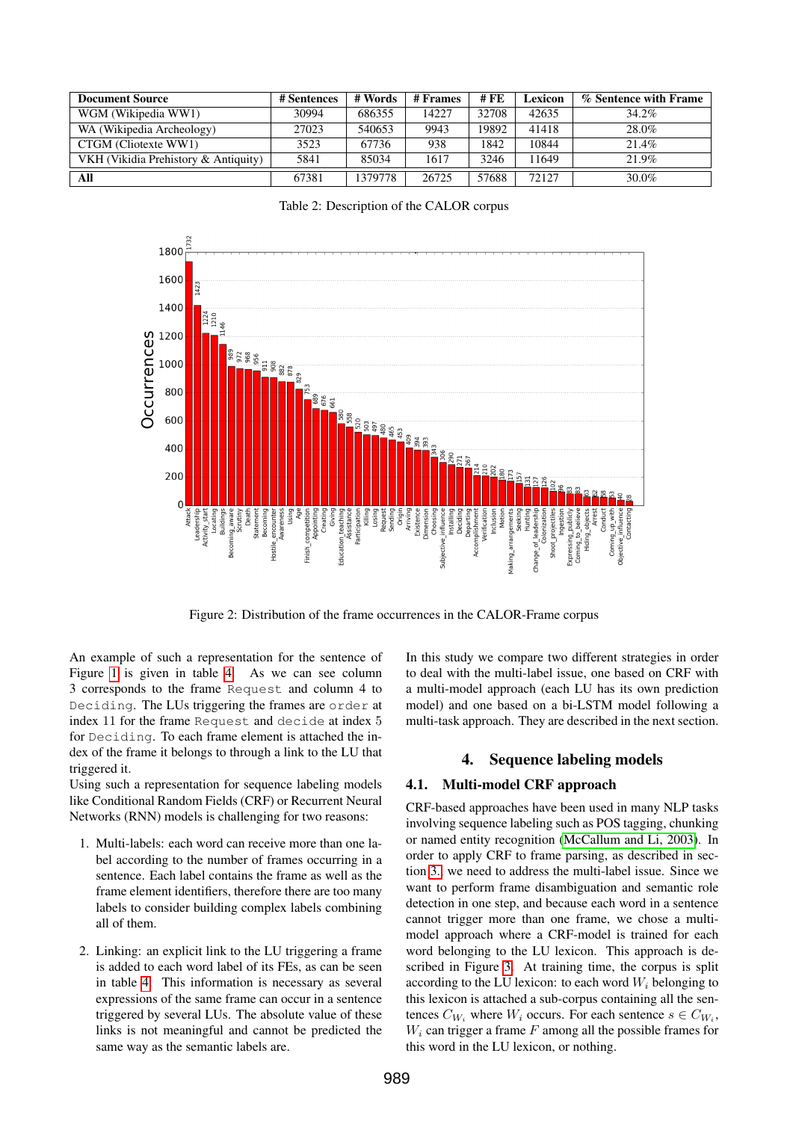| <b>Document Source</b>               | # Sentences | # Words | # Frames | # FE  | Lexicon | % Sentence with Frame |
|--------------------------------------|-------------|---------|----------|-------|---------|-----------------------|
| WGM (Wikipedia WW1)                  | 30994       | 686355  | 14227    | 32708 | 42635   | 34.2%                 |
| WA (Wikipedia Archeology)            | 27023       | 540653  | 9943     | 19892 | 41418   | 28.0%                 |
| CTGM (Cliotexte WW1)                 | 3523        | 67736   | 938      | 1842  | 10844   | 21.4%                 |
| VKH (Vikidia Prehistory & Antiquity) | 5841        | 85034   | 1617     | 3246  | 11649   | 21.9%                 |
| All                                  | 67381       | 1379778 | 26725    | 57688 | 72127   | 30.0%                 |

<span id="page-3-1"></span>Table 2: Description of the CALOR corpus



<span id="page-3-2"></span>Figure 2: Distribution of the frame occurrences in the CALOR-Frame corpus

An example of such a representation for the sentence of Figure [1](#page-1-0) is given in table [4.](#page-4-1) As we can see column 3 corresponds to the frame Request and column 4 to Deciding. The LUs triggering the frames are order at index 11 for the frame Request and decide at index 5 for Deciding. To each frame element is attached the index of the frame it belongs to through a link to the LU that triggered it.

Using such a representation for sequence labeling models like Conditional Random Fields (CRF) or Recurrent Neural Networks (RNN) models is challenging for two reasons:

- 1. Multi-labels: each word can receive more than one label according to the number of frames occurring in a sentence. Each label contains the frame as well as the frame element identifiers, therefore there are too many labels to consider building complex labels combining all of them.
- 2. Linking: an explicit link to the LU triggering a frame is added to each word label of its FEs, as can be seen in table [4.](#page-4-1) This information is necessary as several expressions of the same frame can occur in a sentence triggered by several LUs. The absolute value of these links is not meaningful and cannot be predicted the same way as the semantic labels are.

In this study we compare two different strategies in order to deal with the multi-label issue, one based on CRF with a multi-model approach (each LU has its own prediction model) and one based on a bi-LSTM model following a multi-task approach. They are described in the next section.

# 4. Sequence labeling models

# <span id="page-3-0"></span>4.1. Multi-model CRF approach

CRF-based approaches have been used in many NLP tasks involving sequence labeling such as POS tagging, chunking or named entity recognition [\(McCallum and Li, 2003\)](#page-7-3). In order to apply CRF to frame parsing, as described in section [3.,](#page-2-1) we need to address the multi-label issue. Since we want to perform frame disambiguation and semantic role detection in one step, and because each word in a sentence cannot trigger more than one frame, we chose a multimodel approach where a CRF-model is trained for each word belonging to the LU lexicon. This approach is described in Figure [3.](#page-4-2) At training time, the corpus is split according to the LU lexicon: to each word  $W_i$  belonging to this lexicon is attached a sub-corpus containing all the sentences  $C_{W_i}$  where  $W_i$  occurs. For each sentence  $s \in C_{W_i}$ ,  $W_i$  can trigger a frame  $F$  among all the possible frames for this word in the LU lexicon, or nothing.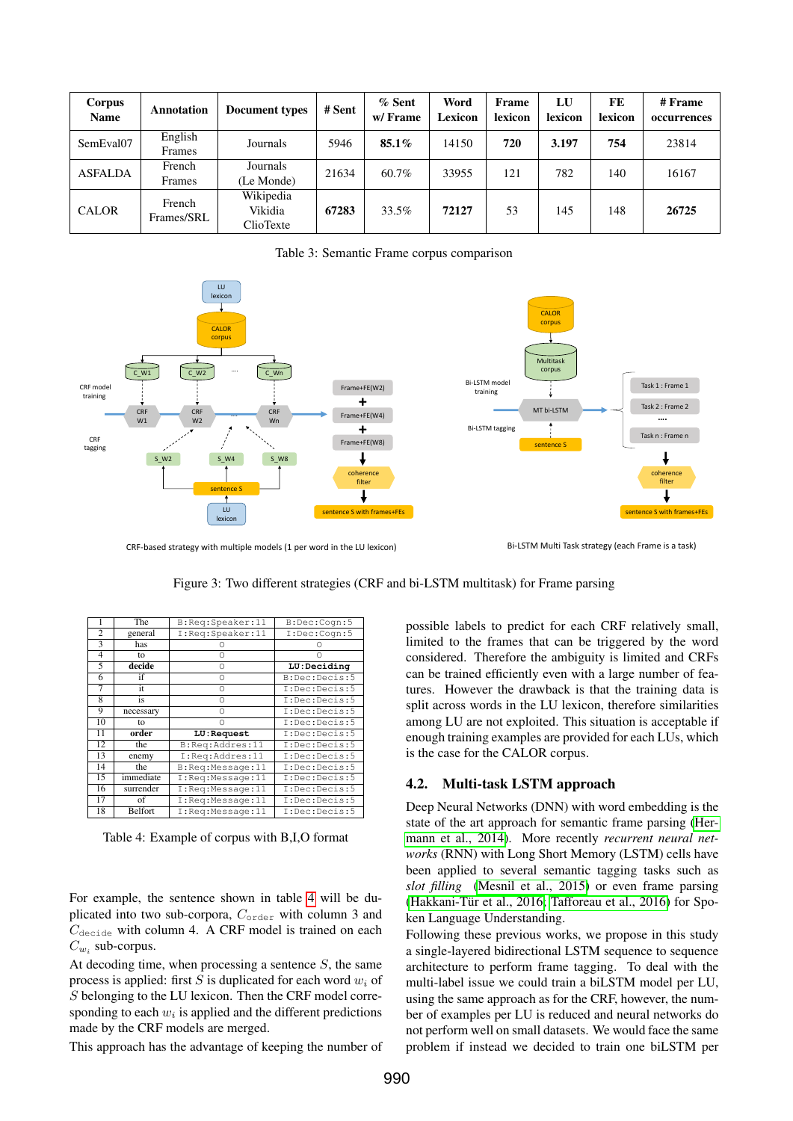| Corpus<br><b>Name</b> | Annotation           | <b>Document types</b>             | # Sent | % Sent<br>w/Frame | Word<br>Lexicon | Frame<br>lexicon | LU<br>lexicon | <b>FE</b><br>lexicon | # Frame<br>occurrences |
|-----------------------|----------------------|-----------------------------------|--------|-------------------|-----------------|------------------|---------------|----------------------|------------------------|
| SemEval07             | English<br>Frames    | Journals                          | 5946   | 85.1%             | 14150           | 720              | 3.197         | 754                  | 23814                  |
| <b>ASFALDA</b>        | French<br>Frames     | Journals<br>(Le Monde)            | 21634  | 60.7%             | 33955           | 121              | 782           | 140                  | 16167                  |
| <b>CALOR</b>          | French<br>Frames/SRL | Wikipedia<br>Vikidia<br>ClioTexte | 67283  | 33.5%             | 72127           | 53               | 145           | 148                  | 26725                  |

<span id="page-4-0"></span>Table 3: Semantic Frame corpus comparison



CRF-based strategy with multiple models (1 per word in the LU lexicon) Bi-LSTM Multi Task strategy (each Frame is a task)

<span id="page-4-2"></span>Figure 3: Two different strategies (CRF and bi-LSTM multitask) for Frame parsing

|                         | The       | B:Req:Speaker:11 | B:Dec:Cogn:5  |
|-------------------------|-----------|------------------|---------------|
| $\overline{c}$          | general   | I:Req:Speaker:11 | I:Dec:Cogn:5  |
| 3                       | has       |                  |               |
| 4                       | to        | Ω                |               |
| 5                       | decide    | Ω                | LU:Deciding   |
| 6                       | if        | $\Omega$         | B:Dec:Decis:5 |
| 7                       | it        | $\Omega$         | I:Dec:Decis:5 |
| $\overline{\mathbf{8}}$ | is        | Ω                | I:Dec:Decis:5 |
| 9                       | necessary | Ω                | I:Dec:Decis:5 |
| 10                      | to        | Ω                | I:Dec:Decis:5 |
| 11                      | order     | LU: Request      | I:Dec:Decis:5 |
| 12                      | the       | B:Req:Addres:11  | I:Dec:Decis:5 |
| 13                      | enemy     | I:Reg:Addres:11  | I:Dec:Decis:5 |
| 14                      | the       | B:Reg:Message:11 | I:Dec:Decis:5 |
| 15                      | immediate | I:Reg:Message:11 | I:Dec:Decis:5 |
| 16                      | surrender | I:Reg:Message:11 | I:Dec:Decis:5 |
| 17                      | of        | I:Req:Message:11 | I:Dec:Decis:5 |
| 18                      | Belfort   | I:Reg:Message:11 | I:Dec:Decis:5 |

<span id="page-4-1"></span>Table 4: Example of corpus with B,I,O format

For example, the sentence shown in table [4](#page-4-1) will be duplicated into two sub-corpora,  $C_{\text{order}}$  with column 3 and  $C_{\text{decide}}$  with column 4. A CRF model is trained on each  $C_{w_i}$  sub-corpus.

At decoding time, when processing a sentence  $S$ , the same process is applied: first S is duplicated for each word  $w_i$  of S belonging to the LU lexicon. Then the CRF model corresponding to each  $w_i$  is applied and the different predictions made by the CRF models are merged.

This approach has the advantage of keeping the number of

possible labels to predict for each CRF relatively small, limited to the frames that can be triggered by the word considered. Therefore the ambiguity is limited and CRFs can be trained efficiently even with a large number of features. However the drawback is that the training data is split across words in the LU lexicon, therefore similarities among LU are not exploited. This situation is acceptable if enough training examples are provided for each LUs, which is the case for the CALOR corpus.

# 4.2. Multi-task LSTM approach

Deep Neural Networks (DNN) with word embedding is the state of the art approach for semantic frame parsing [\(Her](#page-7-4)[mann et al., 2014\)](#page-7-4). More recently *recurrent neural networks* (RNN) with Long Short Memory (LSTM) cells have been applied to several semantic tagging tasks such as *slot filling* [\(Mesnil et al., 2015\)](#page-7-5) or even frame parsing (Hakkani-Tür et al., 2016; [Tafforeau et al., 2016\)](#page-7-7) for Spoken Language Understanding.

Following these previous works, we propose in this study a single-layered bidirectional LSTM sequence to sequence architecture to perform frame tagging. To deal with the multi-label issue we could train a biLSTM model per LU, using the same approach as for the CRF, however, the number of examples per LU is reduced and neural networks do not perform well on small datasets. We would face the same problem if instead we decided to train one biLSTM per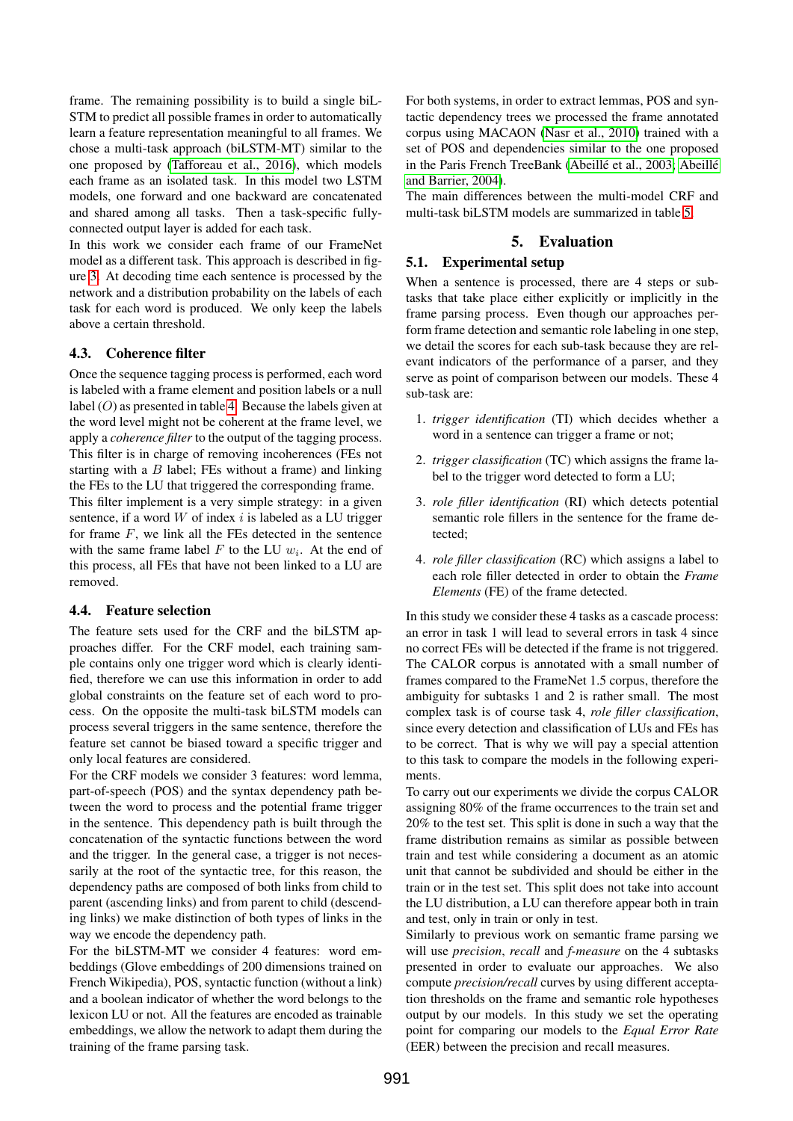frame. The remaining possibility is to build a single biL-STM to predict all possible frames in order to automatically learn a feature representation meaningful to all frames. We chose a multi-task approach (biLSTM-MT) similar to the one proposed by [\(Tafforeau et al., 2016\)](#page-7-7), which models each frame as an isolated task. In this model two LSTM models, one forward and one backward are concatenated and shared among all tasks. Then a task-specific fullyconnected output layer is added for each task.

In this work we consider each frame of our FrameNet model as a different task. This approach is described in figure [3.](#page-4-2) At decoding time each sentence is processed by the network and a distribution probability on the labels of each task for each word is produced. We only keep the labels above a certain threshold.

# 4.3. Coherence filter

Once the sequence tagging process is performed, each word is labeled with a frame element and position labels or a null label (O) as presented in table [4.](#page-4-1) Because the labels given at the word level might not be coherent at the frame level, we apply a *coherence filter* to the output of the tagging process. This filter is in charge of removing incoherences (FEs not starting with a  $B$  label; FEs without a frame) and linking the FEs to the LU that triggered the corresponding frame. This filter implement is a very simple strategy: in a given sentence, if a word  $W$  of index  $i$  is labeled as a LU trigger for frame  $F$ , we link all the FEs detected in the sentence with the same frame label  $F$  to the LU  $w_i$ . At the end of this process, all FEs that have not been linked to a LU are removed.

# 4.4. Feature selection

The feature sets used for the CRF and the biLSTM approaches differ. For the CRF model, each training sample contains only one trigger word which is clearly identified, therefore we can use this information in order to add global constraints on the feature set of each word to process. On the opposite the multi-task biLSTM models can process several triggers in the same sentence, therefore the feature set cannot be biased toward a specific trigger and only local features are considered.

For the CRF models we consider 3 features: word lemma, part-of-speech (POS) and the syntax dependency path between the word to process and the potential frame trigger in the sentence. This dependency path is built through the concatenation of the syntactic functions between the word and the trigger. In the general case, a trigger is not necessarily at the root of the syntactic tree, for this reason, the dependency paths are composed of both links from child to parent (ascending links) and from parent to child (descending links) we make distinction of both types of links in the way we encode the dependency path.

For the biLSTM-MT we consider 4 features: word embeddings (Glove embeddings of 200 dimensions trained on French Wikipedia), POS, syntactic function (without a link) and a boolean indicator of whether the word belongs to the lexicon LU or not. All the features are encoded as trainable embeddings, we allow the network to adapt them during the training of the frame parsing task.

For both systems, in order to extract lemmas, POS and syntactic dependency trees we processed the frame annotated corpus using MACAON [\(Nasr et al., 2010\)](#page-7-8) trained with a set of POS and dependencies similar to the one proposed in the Paris French TreeBank (Abeillé et al., 2003; [Abeill](#page-7-10)é [and Barrier, 2004\)](#page-7-10).

The main differences between the multi-model CRF and multi-task biLSTM models are summarized in table [5.](#page-6-0)

# 5. Evaluation

# 5.1. Experimental setup

When a sentence is processed, there are 4 steps or subtasks that take place either explicitly or implicitly in the frame parsing process. Even though our approaches perform frame detection and semantic role labeling in one step, we detail the scores for each sub-task because they are relevant indicators of the performance of a parser, and they serve as point of comparison between our models. These 4 sub-task are:

- 1. *trigger identification* (TI) which decides whether a word in a sentence can trigger a frame or not;
- 2. *trigger classification* (TC) which assigns the frame label to the trigger word detected to form a LU;
- 3. *role filler identification* (RI) which detects potential semantic role fillers in the sentence for the frame detected;
- 4. *role filler classification* (RC) which assigns a label to each role filler detected in order to obtain the *Frame Elements* (FE) of the frame detected.

In this study we consider these 4 tasks as a cascade process: an error in task 1 will lead to several errors in task 4 since no correct FEs will be detected if the frame is not triggered. The CALOR corpus is annotated with a small number of frames compared to the FrameNet 1.5 corpus, therefore the ambiguity for subtasks 1 and 2 is rather small. The most complex task is of course task 4, *role filler classification*, since every detection and classification of LUs and FEs has to be correct. That is why we will pay a special attention to this task to compare the models in the following experiments.

To carry out our experiments we divide the corpus CALOR assigning 80% of the frame occurrences to the train set and 20% to the test set. This split is done in such a way that the frame distribution remains as similar as possible between train and test while considering a document as an atomic unit that cannot be subdivided and should be either in the train or in the test set. This split does not take into account the LU distribution, a LU can therefore appear both in train and test, only in train or only in test.

Similarly to previous work on semantic frame parsing we will use *precision*, *recall* and *f-measure* on the 4 subtasks presented in order to evaluate our approaches. We also compute *precision/recall* curves by using different acceptation thresholds on the frame and semantic role hypotheses output by our models. In this study we set the operating point for comparing our models to the *Equal Error Rate* (EER) between the precision and recall measures.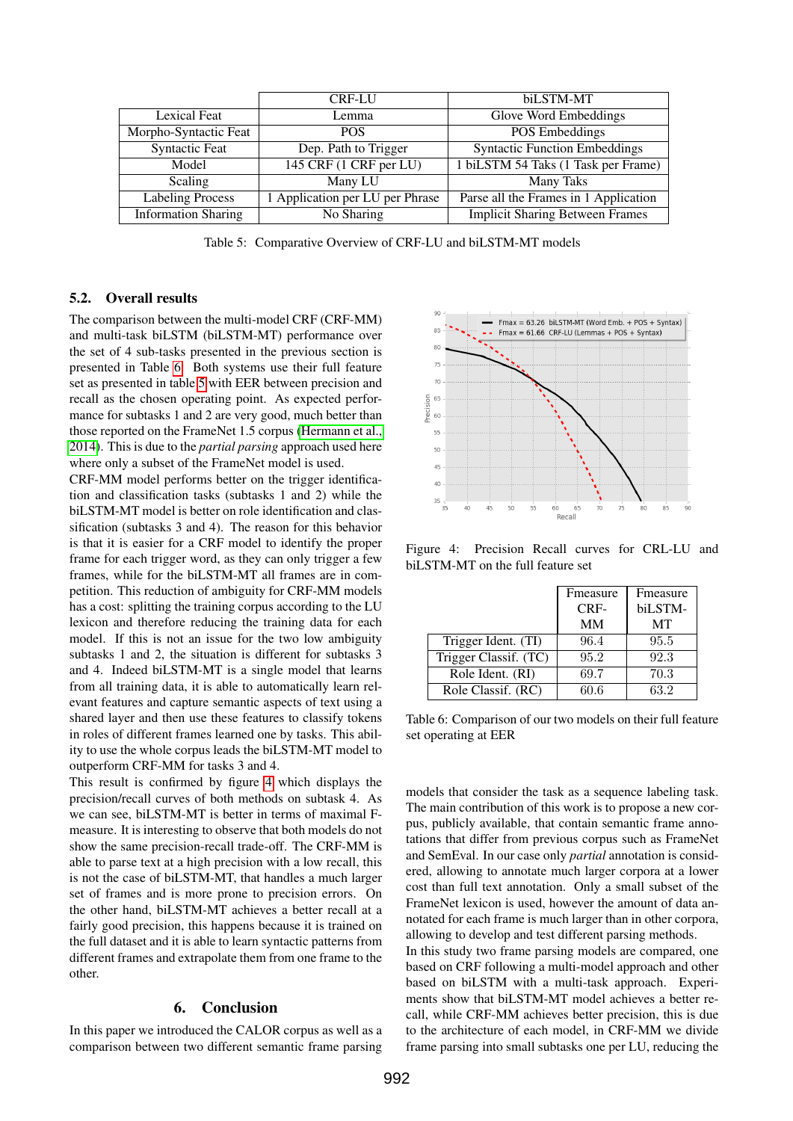|                            | <b>CRF-LU</b>                   | biLSTM-MT                              |
|----------------------------|---------------------------------|----------------------------------------|
| <b>Lexical Feat</b>        | Lemma                           | Glove Word Embeddings                  |
| Morpho-Syntactic Feat      | <b>POS</b>                      | POS Embeddings                         |
| <b>Syntactic Feat</b>      | Dep. Path to Trigger            | <b>Syntactic Function Embeddings</b>   |
| Model                      | 145 CRF (1 CRF per LU)          | 1 biLSTM 54 Taks (1 Task per Frame)    |
| Scaling                    | Many LU                         | Many Taks                              |
| <b>Labeling Process</b>    | 1 Application per LU per Phrase | Parse all the Frames in 1 Application  |
| <b>Information Sharing</b> | No Sharing                      | <b>Implicit Sharing Between Frames</b> |

<span id="page-6-0"></span>Table 5: Comparative Overview of CRF-LU and biLSTM-MT models

### 5.2. Overall results

The comparison between the multi-model CRF (CRF-MM) and multi-task biLSTM (biLSTM-MT) performance over the set of 4 sub-tasks presented in the previous section is presented in Table [6.](#page-6-1) Both systems use their full feature set as presented in table [5](#page-6-0) with EER between precision and recall as the chosen operating point. As expected performance for subtasks 1 and 2 are very good, much better than those reported on the FrameNet 1.5 corpus [\(Hermann et al.,](#page-7-4) [2014\)](#page-7-4). This is due to the *partial parsing* approach used here where only a subset of the FrameNet model is used.

CRF-MM model performs better on the trigger identification and classification tasks (subtasks 1 and 2) while the biLSTM-MT model is better on role identification and classification (subtasks 3 and 4). The reason for this behavior is that it is easier for a CRF model to identify the proper frame for each trigger word, as they can only trigger a few frames, while for the biLSTM-MT all frames are in competition. This reduction of ambiguity for CRF-MM models has a cost: splitting the training corpus according to the LU lexicon and therefore reducing the training data for each model. If this is not an issue for the two low ambiguity subtasks 1 and 2, the situation is different for subtasks 3 and 4. Indeed biLSTM-MT is a single model that learns from all training data, it is able to automatically learn relevant features and capture semantic aspects of text using a shared layer and then use these features to classify tokens in roles of different frames learned one by tasks. This ability to use the whole corpus leads the biLSTM-MT model to outperform CRF-MM for tasks 3 and 4.

This result is confirmed by figure [4](#page-6-2) which displays the precision/recall curves of both methods on subtask 4. As we can see, biLSTM-MT is better in terms of maximal Fmeasure. It is interesting to observe that both models do not show the same precision-recall trade-off. The CRF-MM is able to parse text at a high precision with a low recall, this is not the case of biLSTM-MT, that handles a much larger set of frames and is more prone to precision errors. On the other hand, biLSTM-MT achieves a better recall at a fairly good precision, this happens because it is trained on the full dataset and it is able to learn syntactic patterns from different frames and extrapolate them from one frame to the other.

# 6. Conclusion

In this paper we introduced the CALOR corpus as well as a comparison between two different semantic frame parsing



Figure 4: Precision Recall curves for CRL-LU and biLSTM-MT on the full feature set

<span id="page-6-2"></span>

|                       | Fmeasure | Fmeasure |
|-----------------------|----------|----------|
|                       | CRF-     | biLSTM-  |
|                       | MМ       | MТ       |
| Trigger Ident. (TI)   | 96.4     | 95.5     |
| Trigger Classif. (TC) | 95.2     | 92.3     |
| Role Ident. (RI)      | 69.7     | 70.3     |
| Role Classif. (RC)    | 60.6     | 63.2     |

<span id="page-6-1"></span>Table 6: Comparison of our two models on their full feature set operating at EER

models that consider the task as a sequence labeling task. The main contribution of this work is to propose a new corpus, publicly available, that contain semantic frame annotations that differ from previous corpus such as FrameNet and SemEval. In our case only *partial* annotation is considered, allowing to annotate much larger corpora at a lower cost than full text annotation. Only a small subset of the FrameNet lexicon is used, however the amount of data annotated for each frame is much larger than in other corpora, allowing to develop and test different parsing methods.

In this study two frame parsing models are compared, one based on CRF following a multi-model approach and other based on biLSTM with a multi-task approach. Experiments show that biLSTM-MT model achieves a better recall, while CRF-MM achieves better precision, this is due to the architecture of each model, in CRF-MM we divide frame parsing into small subtasks one per LU, reducing the